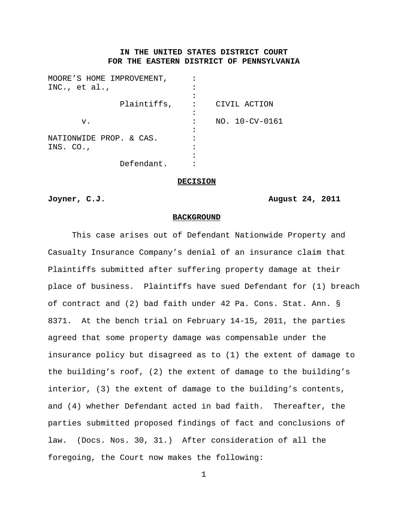# **IN THE UNITED STATES DISTRICT COURT FOR THE EASTERN DISTRICT OF PENNSYLVANIA**

| MOORE'S HOME IMPROVEMENT, |                |
|---------------------------|----------------|
| INC., $et al.,$           |                |
|                           |                |
| Plaintiffs,               | CIVIL ACTION   |
|                           |                |
| v.                        | NO. 10-CV-0161 |
|                           |                |
| NATIONWIDE PROP. & CAS.   |                |
| INS. CO.,                 |                |
|                           |                |
| Defendant.                |                |

**DECISION**

### **Joyner, C.J. August 24, 2011**

#### **BACKGROUND**

This case arises out of Defendant Nationwide Property and Casualty Insurance Company's denial of an insurance claim that Plaintiffs submitted after suffering property damage at their place of business. Plaintiffs have sued Defendant for (1) breach of contract and (2) bad faith under 42 Pa. Cons. Stat. Ann. § 8371. At the bench trial on February 14-15, 2011, the parties agreed that some property damage was compensable under the insurance policy but disagreed as to (1) the extent of damage to the building's roof, (2) the extent of damage to the building's interior, (3) the extent of damage to the building's contents, and (4) whether Defendant acted in bad faith. Thereafter, the parties submitted proposed findings of fact and conclusions of law. (Docs. Nos. 30, 31.) After consideration of all the foregoing, the Court now makes the following: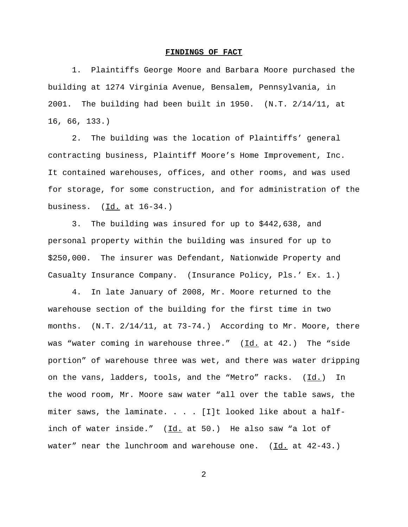#### **FINDINGS OF FACT**

1. Plaintiffs George Moore and Barbara Moore purchased the building at 1274 Virginia Avenue, Bensalem, Pennsylvania, in 2001. The building had been built in 1950. (N.T. 2/14/11, at 16, 66, 133.)

2. The building was the location of Plaintiffs' general contracting business, Plaintiff Moore's Home Improvement, Inc. It contained warehouses, offices, and other rooms, and was used for storage, for some construction, and for administration of the business.  $(\underline{Id.}$  at  $16-34.)$ 

3. The building was insured for up to \$442,638, and personal property within the building was insured for up to \$250,000. The insurer was Defendant, Nationwide Property and Casualty Insurance Company. (Insurance Policy, Pls.' Ex. 1.)

4. In late January of 2008, Mr. Moore returned to the warehouse section of the building for the first time in two months. (N.T. 2/14/11, at 73-74.) According to Mr. Moore, there was "water coming in warehouse three."  $(\underline{Id.}]$  at 42.) The "side portion" of warehouse three was wet, and there was water dripping on the vans, ladders, tools, and the "Metro" racks. (Id.) In the wood room, Mr. Moore saw water "all over the table saws, the miter saws, the laminate. . . . [I]t looked like about a halfinch of water inside."  $(\underline{Id.}$  at 50.) He also saw "a lot of water" near the lunchroom and warehouse one.  $(\underline{Id.}$  at  $42-43.)$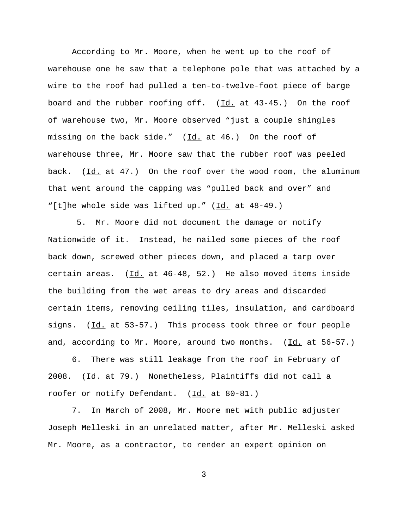According to Mr. Moore, when he went up to the roof of warehouse one he saw that a telephone pole that was attached by a wire to the roof had pulled a ten-to-twelve-foot piece of barge board and the rubber roofing off. (Id. at 43-45.) On the roof of warehouse two, Mr. Moore observed "just a couple shingles missing on the back side."  $(Id. at 46.)$  On the roof of warehouse three, Mr. Moore saw that the rubber roof was peeled back. (Id. at 47.) On the roof over the wood room, the aluminum that went around the capping was "pulled back and over" and "[t]he whole side was lifted up." (Id. at 48-49.)

5. Mr. Moore did not document the damage or notify Nationwide of it. Instead, he nailed some pieces of the roof back down, screwed other pieces down, and placed a tarp over certain areas.  $(\underline{Id.}$  at  $46-48$ , 52.) He also moved items inside the building from the wet areas to dry areas and discarded certain items, removing ceiling tiles, insulation, and cardboard signs. (Id. at 53-57.) This process took three or four people and, according to Mr. Moore, around two months. (Id. at 56-57.)

6. There was still leakage from the roof in February of 2008. (Id. at 79.) Nonetheless, Plaintiffs did not call a roofer or notify Defendant. (Id. at 80-81.)

7. In March of 2008, Mr. Moore met with public adjuster Joseph Melleski in an unrelated matter, after Mr. Melleski asked Mr. Moore, as a contractor, to render an expert opinion on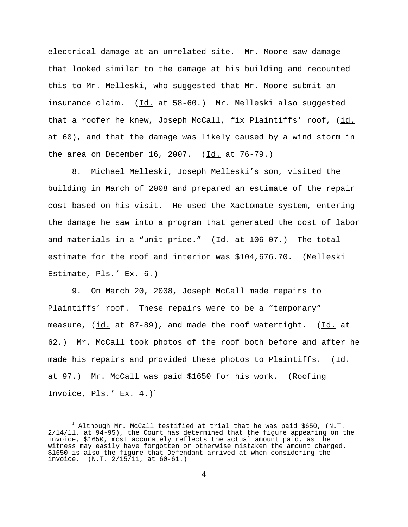electrical damage at an unrelated site. Mr. Moore saw damage that looked similar to the damage at his building and recounted this to Mr. Melleski, who suggested that Mr. Moore submit an insurance claim. (Id. at 58-60.) Mr. Melleski also suggested that a roofer he knew, Joseph McCall, fix Plaintiffs' roof, (id. at 60), and that the damage was likely caused by a wind storm in the area on December 16, 2007. (Id. at 76-79.)

8. Michael Melleski, Joseph Melleski's son, visited the building in March of 2008 and prepared an estimate of the repair cost based on his visit. He used the Xactomate system, entering the damage he saw into a program that generated the cost of labor and materials in a "unit price." (Id. at 106-07.) The total estimate for the roof and interior was \$104,676.70. (Melleski Estimate, Pls.' Ex. 6.)

9. On March 20, 2008, Joseph McCall made repairs to Plaintiffs' roof. These repairs were to be a "temporary" measure, (id. at 87-89), and made the roof watertight. (Id. at 62.) Mr. McCall took photos of the roof both before and after he made his repairs and provided these photos to Plaintiffs. (Id. at 97.) Mr. McCall was paid \$1650 for his work. (Roofing Invoice, Pls.' Ex.  $4.$ )<sup>1</sup>

 $1$  Although Mr. McCall testified at trial that he was paid \$650, (N.T. 2/14/11, at 94-95), the Court has determined that the figure appearing on the invoice, \$1650, most accurately reflects the actual amount paid, as the witness may easily have forgotten or otherwise mistaken the amount charged. \$1650 is also the figure that Defendant arrived at when considering the invoice. (N.T. 2/15/11, at 60-61.)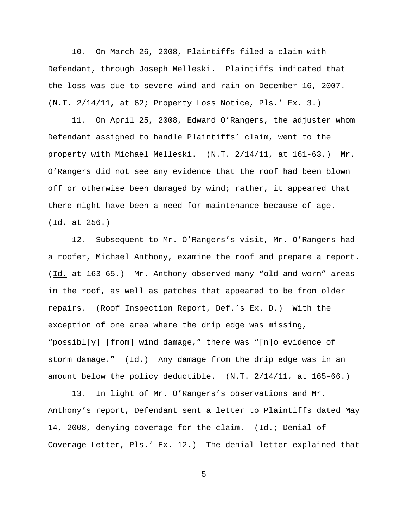10. On March 26, 2008, Plaintiffs filed a claim with Defendant, through Joseph Melleski. Plaintiffs indicated that the loss was due to severe wind and rain on December 16, 2007. (N.T. 2/14/11, at 62; Property Loss Notice, Pls.' Ex. 3.)

11. On April 25, 2008, Edward O'Rangers, the adjuster whom Defendant assigned to handle Plaintiffs' claim, went to the property with Michael Melleski. (N.T. 2/14/11, at 161-63.) Mr. O'Rangers did not see any evidence that the roof had been blown off or otherwise been damaged by wind; rather, it appeared that there might have been a need for maintenance because of age. (Id. at 256.)

12. Subsequent to Mr. O'Rangers's visit, Mr. O'Rangers had a roofer, Michael Anthony, examine the roof and prepare a report. (Id. at 163-65.) Mr. Anthony observed many "old and worn" areas in the roof, as well as patches that appeared to be from older repairs. (Roof Inspection Report, Def.'s Ex. D.) With the exception of one area where the drip edge was missing, "possibl[y] [from] wind damage," there was "[n]o evidence of storm damage."  $(Id.)$  Any damage from the drip edge was in an amount below the policy deductible. (N.T. 2/14/11, at 165-66.)

13. In light of Mr. O'Rangers's observations and Mr. Anthony's report, Defendant sent a letter to Plaintiffs dated May 14, 2008, denying coverage for the claim. (Id.; Denial of Coverage Letter, Pls.' Ex. 12.) The denial letter explained that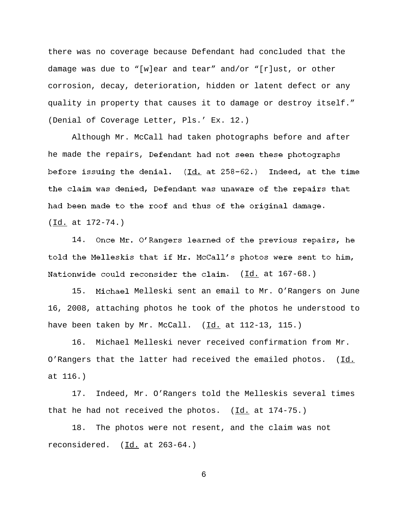there was no coverage because Defendant had concluded that the damage was due to "[w]ear and tear" and/or "[r]ust, or other corrosion, decay, deterioration, hidden or latent defect or any quality in property that causes it to damage or destroy itself." (Denial of Coverage Letter, Pls.' Ex. 12.)

Although Mr. McCall had taken photographs before and after he made the repairs, Defendant had not seen these photographs before issuing the denial. (Id. at 258-62.) Indeed, at the time the claim was denied, Defendant was unaware of the repairs that had been made to the roof and thus of the original damage. (Id. at 172-74.)

14. Once Mr. O'Rangers learned of the previous repairs, he told the Melleskis that if Mr. McCall's photos were sent to him, Nationwide could reconsider the claim.  $(\underline{Id.}$  at 167-68.)

15. Michael Melleski sent an email to Mr. O'Rangers on June 16, 2008, attaching photos he took of the photos he understood to have been taken by Mr. McCall.  $(\underline{Id.}]$  at 112-13, 115.)

16. Michael Melleski never received confirmation from Mr. O'Rangers that the latter had received the emailed photos. (Id. at 116.)

17. Indeed, Mr. O'Rangers told the Melleskis several times that he had not received the photos. (Id. at 174-75.)

18. The photos were not resent, and the claim was not reconsidered.  $(\underline{Id.}$  at 263-64.)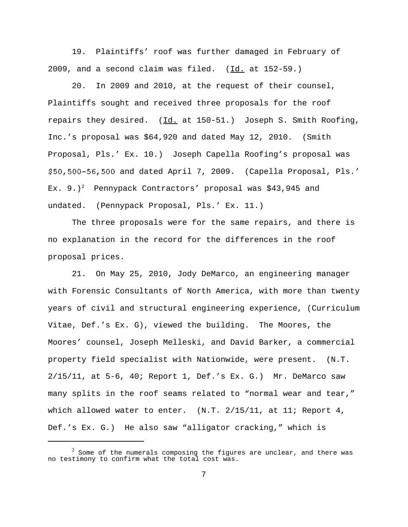19. Plaintiffs' roof was further damaged in February of 2009, and a second claim was filed.  $(\underline{Id.}$  at 152-59.)

20. In 2009 and 2010, at the request of their counsel, Plaintiffs sought and received three proposals for the roof repairs they desired. (Id. at 150-51.) Joseph S. Smith Roofing, Inc.'s proposal was \$64,920 and dated May 12, 2010. (Smith Proposal, Pls.' Ex. 10.) Joseph Capella Roofing's proposal was \$50,500-56,500 and dated April 7, 2009. (Capella Proposal, Pls.' Ex. 9.)<sup>2</sup> Pennypack Contractors' proposal was \$43,945 and undated. (Pennypack Proposal, Pls.' Ex. 11.)

The three proposals were for the same repairs, and there is no explanation in the record for the differences in the roof proposal prices.

21. On May 25, 2010, Jody DeMarco, an engineering manager with Forensic Consultants of North America, with more than twenty years of civil and structural engineering experience, (Curriculum Vitae, Def.'s Ex. G), viewed the building. The Moores, the Moores' counsel, Joseph Melleski, and David Barker, a commercial property field specialist with Nationwide, were present. (N.T. 2/15/11, at 5-6, 40; Report 1, Def.'s Ex. G.) Mr. DeMarco saw many splits in the roof seams related to "normal wear and tear," which allowed water to enter. (N.T. 2/15/11, at 11; Report 4, Def.'s Ex. G.) He also saw "alligator cracking," which is

 $2$  Some of the numerals composing the figures are unclear, and there was no testimony to confirm what the total cost was.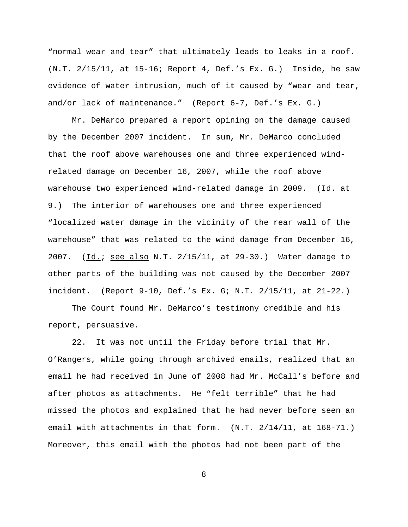"normal wear and tear" that ultimately leads to leaks in a roof. (N.T. 2/15/11, at 15-16; Report 4, Def.'s Ex. G.) Inside, he saw evidence of water intrusion, much of it caused by "wear and tear, and/or lack of maintenance." (Report 6-7, Def.'s Ex. G.)

Mr. DeMarco prepared a report opining on the damage caused by the December 2007 incident. In sum, Mr. DeMarco concluded that the roof above warehouses one and three experienced windrelated damage on December 16, 2007, while the roof above warehouse two experienced wind-related damage in 2009. (Id. at 9.) The interior of warehouses one and three experienced "localized water damage in the vicinity of the rear wall of the warehouse" that was related to the wind damage from December 16, 2007. (Id.; see also N.T. 2/15/11, at 29-30.) Water damage to other parts of the building was not caused by the December 2007 incident. (Report 9-10, Def.'s Ex. G; N.T. 2/15/11, at 21-22.)

The Court found Mr. DeMarco's testimony credible and his report, persuasive.

22. It was not until the Friday before trial that Mr. O'Rangers, while going through archived emails, realized that an email he had received in June of 2008 had Mr. McCall's before and after photos as attachments. He "felt terrible" that he had missed the photos and explained that he had never before seen an email with attachments in that form. (N.T. 2/14/11, at 168-71.) Moreover, this email with the photos had not been part of the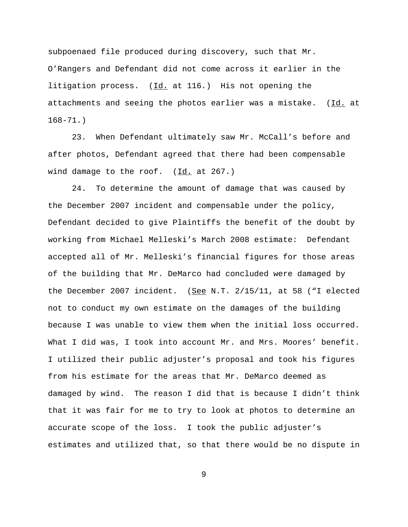subpoenaed file produced during discovery, such that Mr. O'Rangers and Defendant did not come across it earlier in the litigation process.  $(\underline{Id.}$  at 116.) His not opening the attachments and seeing the photos earlier was a mistake. (Id. at 168-71.)

23. When Defendant ultimately saw Mr. McCall's before and after photos, Defendant agreed that there had been compensable wind damage to the roof. (Id. at 267.)

24. To determine the amount of damage that was caused by the December 2007 incident and compensable under the policy, Defendant decided to give Plaintiffs the benefit of the doubt by working from Michael Melleski's March 2008 estimate: Defendant accepted all of Mr. Melleski's financial figures for those areas of the building that Mr. DeMarco had concluded were damaged by the December 2007 incident. (See N.T.  $2/15/11$ , at 58 ("I elected not to conduct my own estimate on the damages of the building because I was unable to view them when the initial loss occurred. What I did was, I took into account Mr. and Mrs. Moores' benefit. I utilized their public adjuster's proposal and took his figures from his estimate for the areas that Mr. DeMarco deemed as damaged by wind. The reason I did that is because I didn't think that it was fair for me to try to look at photos to determine an accurate scope of the loss. I took the public adjuster's estimates and utilized that, so that there would be no dispute in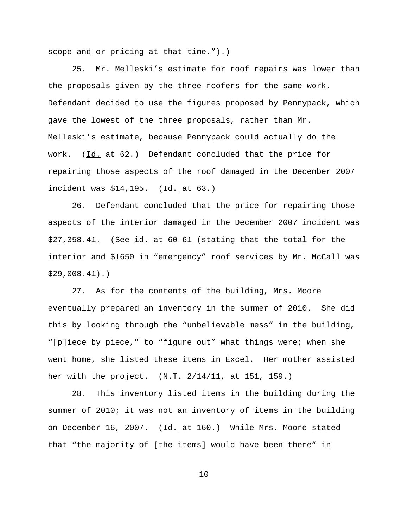scope and or pricing at that time.").)

25. Mr. Melleski's estimate for roof repairs was lower than the proposals given by the three roofers for the same work. Defendant decided to use the figures proposed by Pennypack, which gave the lowest of the three proposals, rather than Mr. Melleski's estimate, because Pennypack could actually do the work. (Id. at 62.) Defendant concluded that the price for repairing those aspects of the roof damaged in the December 2007 incident was \$14,195. (Id. at 63.)

26. Defendant concluded that the price for repairing those aspects of the interior damaged in the December 2007 incident was \$27,358.41. (See id. at 60-61 (stating that the total for the interior and \$1650 in "emergency" roof services by Mr. McCall was \$29,008.41).)

27. As for the contents of the building, Mrs. Moore eventually prepared an inventory in the summer of 2010. She did this by looking through the "unbelievable mess" in the building, "[p]iece by piece," to "figure out" what things were; when she went home, she listed these items in Excel. Her mother assisted her with the project. (N.T. 2/14/11, at 151, 159.)

28. This inventory listed items in the building during the summer of 2010; it was not an inventory of items in the building on December 16, 2007. (Id. at 160.) While Mrs. Moore stated that "the majority of [the items] would have been there" in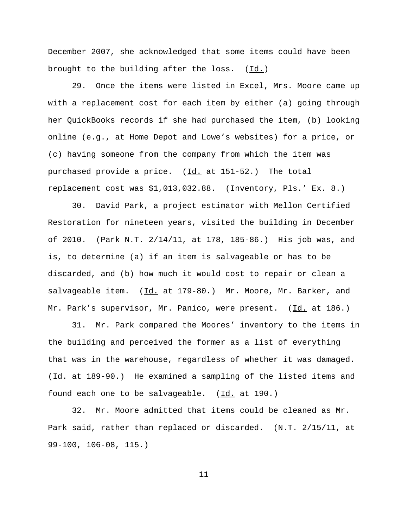December 2007, she acknowledged that some items could have been brought to the building after the loss.  $(\underline{Id.})$ 

29. Once the items were listed in Excel, Mrs. Moore came up with a replacement cost for each item by either (a) going through her QuickBooks records if she had purchased the item, (b) looking online (e.g., at Home Depot and Lowe's websites) for a price, or (c) having someone from the company from which the item was purchased provide a price. (Id. at 151-52.) The total replacement cost was \$1,013,032.88. (Inventory, Pls.' Ex. 8.)

30. David Park, a project estimator with Mellon Certified Restoration for nineteen years, visited the building in December of 2010. (Park N.T. 2/14/11, at 178, 185-86.) His job was, and is, to determine (a) if an item is salvageable or has to be discarded, and (b) how much it would cost to repair or clean a salvageable item. (Id. at 179-80.) Mr. Moore, Mr. Barker, and Mr. Park's supervisor, Mr. Panico, were present. (Id. at 186.)

31. Mr. Park compared the Moores' inventory to the items in the building and perceived the former as a list of everything that was in the warehouse, regardless of whether it was damaged. (Id. at 189-90.) He examined a sampling of the listed items and found each one to be salvageable. (Id. at 190.)

32. Mr. Moore admitted that items could be cleaned as Mr. Park said, rather than replaced or discarded. (N.T. 2/15/11, at 99-100, 106-08, 115.)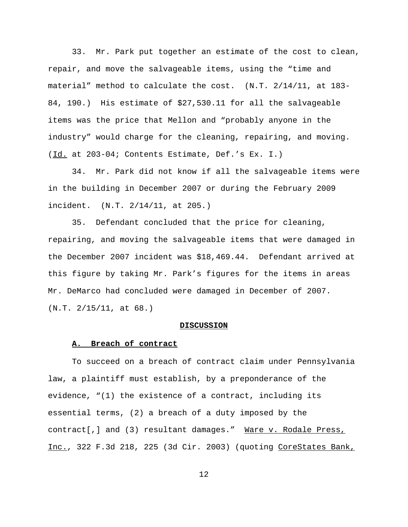33. Mr. Park put together an estimate of the cost to clean, repair, and move the salvageable items, using the "time and material" method to calculate the cost. (N.T. 2/14/11, at 183- 84, 190.) His estimate of \$27,530.11 for all the salvageable items was the price that Mellon and "probably anyone in the industry" would charge for the cleaning, repairing, and moving. (Id. at 203-04; Contents Estimate, Def.'s Ex. I.)

34. Mr. Park did not know if all the salvageable items were in the building in December 2007 or during the February 2009 incident. (N.T. 2/14/11, at 205.)

35. Defendant concluded that the price for cleaning, repairing, and moving the salvageable items that were damaged in the December 2007 incident was \$18,469.44. Defendant arrived at this figure by taking Mr. Park's figures for the items in areas Mr. DeMarco had concluded were damaged in December of 2007. (N.T. 2/15/11, at 68.)

### **DISCUSSION**

### **A. Breach of contract**

To succeed on a breach of contract claim under Pennsylvania law, a plaintiff must establish, by a preponderance of the evidence, "(1) the existence of a contract, including its essential terms, (2) a breach of a duty imposed by the contract[,] and (3) resultant damages." Ware v. Rodale Press, Inc., 322 F.3d 218, 225 (3d Cir. 2003) (quoting CoreStates Bank,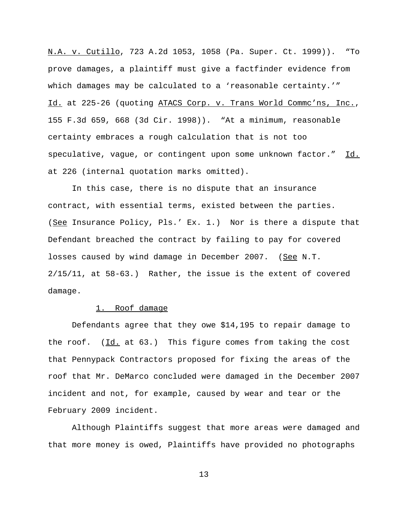N.A. v. Cutillo, 723 A.2d 1053, 1058 (Pa. Super. Ct. 1999)). "To prove damages, a plaintiff must give a factfinder evidence from which damages may be calculated to a 'reasonable certainty.'" Id. at 225-26 (quoting ATACS Corp. v. Trans World Commc'ns, Inc., 155 F.3d 659, 668 (3d Cir. 1998)). "At a minimum, reasonable certainty embraces a rough calculation that is not too speculative, vague, or contingent upon some unknown factor." Id. at 226 (internal quotation marks omitted).

In this case, there is no dispute that an insurance contract, with essential terms, existed between the parties. (See Insurance Policy, Pls.' Ex. 1.) Nor is there a dispute that Defendant breached the contract by failing to pay for covered losses caused by wind damage in December 2007. (See N.T. 2/15/11, at 58-63.) Rather, the issue is the extent of covered damage.

## 1. Roof damage

Defendants agree that they owe \$14,195 to repair damage to the roof.  $(\underline{Id.}$  at 63.) This figure comes from taking the cost that Pennypack Contractors proposed for fixing the areas of the roof that Mr. DeMarco concluded were damaged in the December 2007 incident and not, for example, caused by wear and tear or the February 2009 incident.

Although Plaintiffs suggest that more areas were damaged and that more money is owed, Plaintiffs have provided no photographs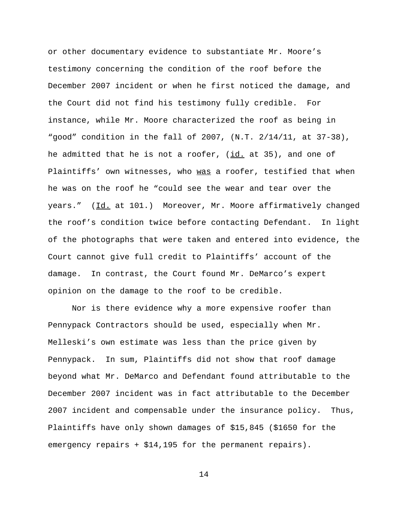or other documentary evidence to substantiate Mr. Moore's testimony concerning the condition of the roof before the December 2007 incident or when he first noticed the damage, and the Court did not find his testimony fully credible. For instance, while Mr. Moore characterized the roof as being in "good" condition in the fall of 2007, (N.T. 2/14/11, at 37-38), he admitted that he is not a roofer, (id. at 35), and one of Plaintiffs' own witnesses, who was a roofer, testified that when he was on the roof he "could see the wear and tear over the years." (Id. at 101.) Moreover, Mr. Moore affirmatively changed the roof's condition twice before contacting Defendant. In light of the photographs that were taken and entered into evidence, the Court cannot give full credit to Plaintiffs' account of the damage. In contrast, the Court found Mr. DeMarco's expert opinion on the damage to the roof to be credible.

Nor is there evidence why a more expensive roofer than Pennypack Contractors should be used, especially when Mr. Melleski's own estimate was less than the price given by Pennypack. In sum, Plaintiffs did not show that roof damage beyond what Mr. DeMarco and Defendant found attributable to the December 2007 incident was in fact attributable to the December 2007 incident and compensable under the insurance policy. Thus, Plaintiffs have only shown damages of \$15,845 (\$1650 for the emergency repairs + \$14,195 for the permanent repairs).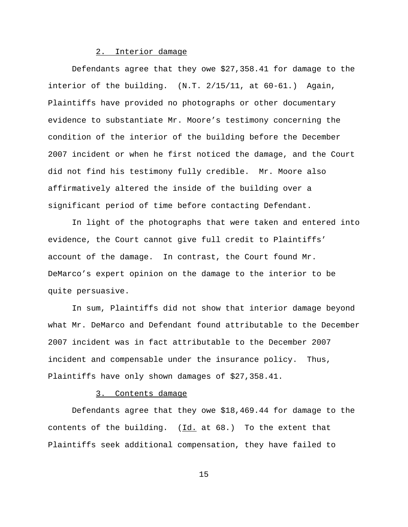## 2. Interior damage

Defendants agree that they owe \$27,358.41 for damage to the interior of the building. (N.T. 2/15/11, at 60-61.) Again, Plaintiffs have provided no photographs or other documentary evidence to substantiate Mr. Moore's testimony concerning the condition of the interior of the building before the December 2007 incident or when he first noticed the damage, and the Court did not find his testimony fully credible. Mr. Moore also affirmatively altered the inside of the building over a significant period of time before contacting Defendant.

In light of the photographs that were taken and entered into evidence, the Court cannot give full credit to Plaintiffs' account of the damage. In contrast, the Court found Mr. DeMarco's expert opinion on the damage to the interior to be quite persuasive.

In sum, Plaintiffs did not show that interior damage beyond what Mr. DeMarco and Defendant found attributable to the December 2007 incident was in fact attributable to the December 2007 incident and compensable under the insurance policy. Thus, Plaintiffs have only shown damages of \$27,358.41.

#### 3. Contents damage

Defendants agree that they owe \$18,469.44 for damage to the contents of the building.  $(\underline{Id.}$  at 68.) To the extent that Plaintiffs seek additional compensation, they have failed to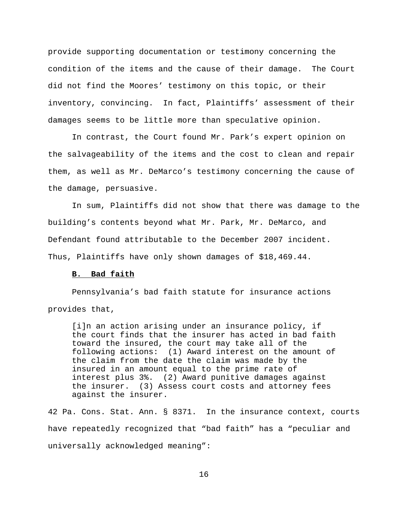provide supporting documentation or testimony concerning the condition of the items and the cause of their damage. The Court did not find the Moores' testimony on this topic, or their inventory, convincing. In fact, Plaintiffs' assessment of their damages seems to be little more than speculative opinion.

In contrast, the Court found Mr. Park's expert opinion on the salvageability of the items and the cost to clean and repair them, as well as Mr. DeMarco's testimony concerning the cause of the damage, persuasive.

In sum, Plaintiffs did not show that there was damage to the building's contents beyond what Mr. Park, Mr. DeMarco, and Defendant found attributable to the December 2007 incident. Thus, Plaintiffs have only shown damages of \$18,469.44.

## **B. Bad faith**

Pennsylvania's bad faith statute for insurance actions provides that,

[i]n an action arising under an insurance policy, if the court finds that the insurer has acted in bad faith toward the insured, the court may take all of the following actions: (1) Award interest on the amount of the claim from the date the claim was made by the insured in an amount equal to the prime rate of interest plus 3%. (2) Award punitive damages against the insurer. (3) Assess court costs and attorney fees against the insurer.

42 Pa. Cons. Stat. Ann. § 8371. In the insurance context, courts have repeatedly recognized that "bad faith" has a "peculiar and universally acknowledged meaning":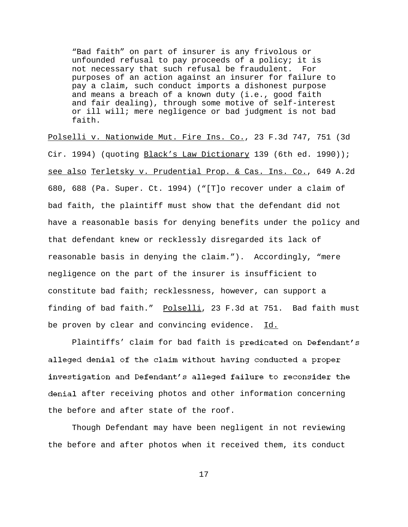"Bad faith" on part of insurer is any frivolous or unfounded refusal to pay proceeds of a policy; it is not necessary that such refusal be fraudulent. For purposes of an action against an insurer for failure to pay a claim, such conduct imports a dishonest purpose and means a breach of a known duty (i.e., good faith and fair dealing), through some motive of self-interest or ill will; mere negligence or bad judgment is not bad faith.

Polselli v. Nationwide Mut. Fire Ins. Co., 23 F.3d 747, 751 (3d Cir. 1994) (quoting Black's Law Dictionary 139 (6th ed. 1990)); see also Terletsky v. Prudential Prop. & Cas. Ins. Co., 649 A.2d 680, 688 (Pa. Super. Ct. 1994) ("[T]o recover under a claim of bad faith, the plaintiff must show that the defendant did not have a reasonable basis for denying benefits under the policy and that defendant knew or recklessly disregarded its lack of reasonable basis in denying the claim."). Accordingly, "mere negligence on the part of the insurer is insufficient to constitute bad faith; recklessness, however, can support a finding of bad faith." Polselli, 23 F.3d at 751. Bad faith must be proven by clear and convincing evidence. Id.

Plaintiffs' claim for bad faith is predicated on Defendant's alleged denial of the claim without having conducted a proper investigation and Defendant's alleged failure to reconsider the denial after receiving photos and other information concerning the before and after state of the roof.

Though Defendant may have been negligent in not reviewing the before and after photos when it received them, its conduct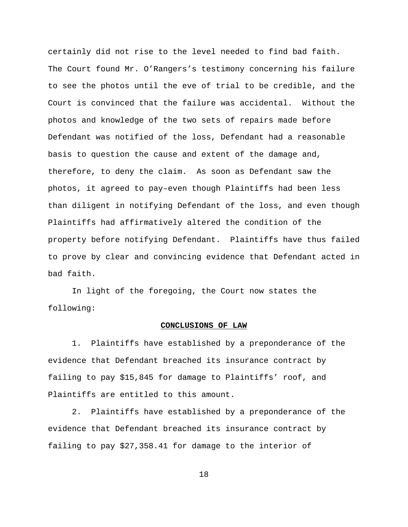certainly did not rise to the level needed to find bad faith. The Court found Mr. O'Rangers's testimony concerning his failure to see the photos until the eve of trial to be credible, and the Court is convinced that the failure was accidental. Without the photos and knowledge of the two sets of repairs made before Defendant was notified of the loss, Defendant had a reasonable basis to question the cause and extent of the damage and, therefore, to deny the claim. As soon as Defendant saw the photos, it agreed to pay–even though Plaintiffs had been less than diligent in notifying Defendant of the loss, and even though Plaintiffs had affirmatively altered the condition of the property before notifying Defendant. Plaintiffs have thus failed to prove by clear and convincing evidence that Defendant acted in bad faith.

In light of the foregoing, the Court now states the following:

### **CONCLUSIONS OF LAW**

1. Plaintiffs have established by a preponderance of the evidence that Defendant breached its insurance contract by failing to pay \$15,845 for damage to Plaintiffs' roof, and Plaintiffs are entitled to this amount.

2. Plaintiffs have established by a preponderance of the evidence that Defendant breached its insurance contract by failing to pay \$27,358.41 for damage to the interior of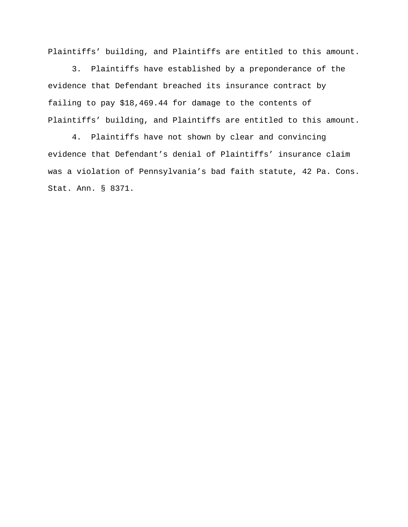Plaintiffs' building, and Plaintiffs are entitled to this amount.

3. Plaintiffs have established by a preponderance of the evidence that Defendant breached its insurance contract by failing to pay \$18,469.44 for damage to the contents of Plaintiffs' building, and Plaintiffs are entitled to this amount.

4. Plaintiffs have not shown by clear and convincing evidence that Defendant's denial of Plaintiffs' insurance claim was a violation of Pennsylvania's bad faith statute, 42 Pa. Cons. Stat. Ann. § 8371.